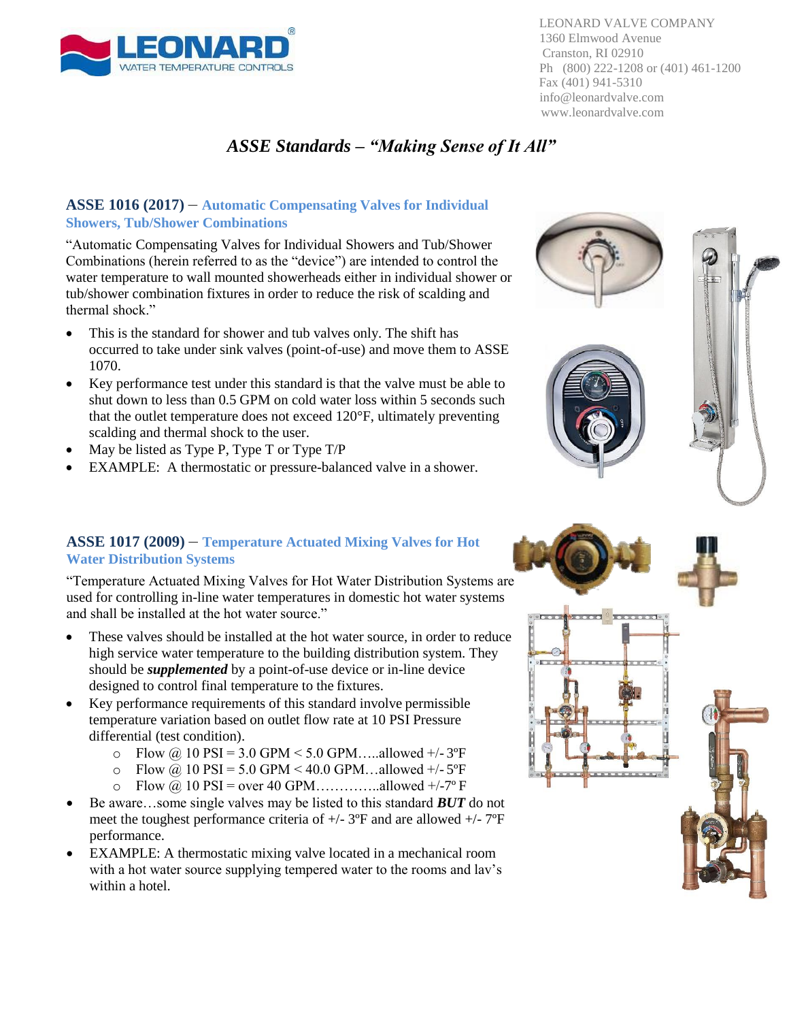

LEONARD VALVE COMPANY 1360 Elmwood Avenue Cranston, RI 02910 Ph (800) 222-1208 or (401) 461-1200 Fax (401) 941-5310 [info@leonardvalve.com](mailto:info@leonardvalve.com) [www.leonardvalve.com](http://www.leonardvalve.com/)

### *ASSE Standards – "Making Sense of It All"*

#### **ASSE 1016 (2017)** – **Automatic Compensating Valves for Individual Showers, Tub/Shower Combinations**

"Automatic Compensating Valves for Individual Showers and Tub/Shower Combinations (herein referred to as the "device") are intended to control the water temperature to wall mounted showerheads either in individual shower or tub/shower combination fixtures in order to reduce the risk of scalding and thermal shock."

- This is the standard for shower and tub valves only. The shift has occurred to take under sink valves (point-of-use) and move them to ASSE 1070.
- Key performance test under this standard is that the valve must be able to shut down to less than 0.5 GPM on cold water loss within 5 seconds such that the outlet temperature does not exceed 120°F, ultimately preventing scalding and thermal shock to the user.
- May be listed as Type P, Type T or Type T/P
- EXAMPLE: A thermostatic or pressure-balanced valve in a shower.

#### **ASSE 1017 (2009)** – **Temperature Actuated Mixing Valves for Hot Water Distribution Systems**

"Temperature Actuated Mixing Valves for Hot Water Distribution Systems are used for controlling in-line water temperatures in domestic hot water systems and shall be installed at the hot water source."

- These valves should be installed at the hot water source, in order to reduce high service water temperature to the building distribution system. They should be *supplemented* by a point-of-use device or in-line device designed to control final temperature to the fixtures.
- Key performance requirements of this standard involve permissible temperature variation based on outlet flow rate at 10 PSI Pressure differential (test condition).
	- o Flow @ 10 PSI = 3.0 GPM < 5.0 GPM.....allowed +/-  $3^{\circ}F$
	- $\degree$  Flow @ 10 PSI = 5.0 GPM < 40.0 GPM...allowed +/- 5°F
	- Flow  $\omega$  10 PSI = over 40 GPM………...allowed +/-7° F
- Be aware…some single valves may be listed to this standard *BUT* do not meet the toughest performance criteria of  $+/- 3$ °F and are allowed  $+/- 7$ °F performance.
- EXAMPLE: A thermostatic mixing valve located in a mechanical room with a hot water source supplying tempered water to the rooms and lav's within a hotel.



 $0E\times K$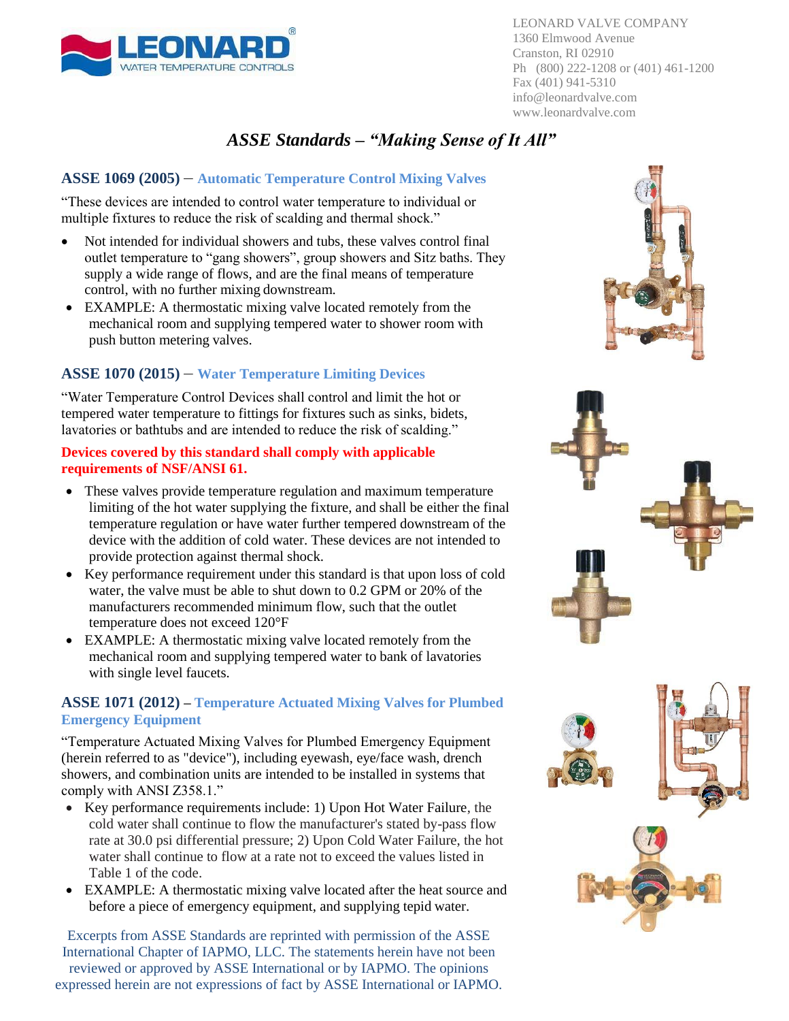

LEONARD VALVE COMPANY 1360 Elmwood Avenue Cranston, RI 02910 Ph (800) 222-1208 or (401) 461-1200 Fax (401) 941-5310 [info@leonardvalve.com](mailto:info@leonardvalve.com) [www.leonardvalve.com](http://www.leonardvalve.com/)

## *ASSE Standards – "Making Sense of It All"*

#### **ASSE 1069 (2005)** – **Automatic Temperature Control Mixing Valves**

"These devices are intended to control water temperature to individual or multiple fixtures to reduce the risk of scalding and thermal shock."

- Not intended for individual showers and tubs, these valves control final outlet temperature to "gang showers", group showers and Sitz baths. They supply a wide range of flows, and are the final means of temperature control, with no further mixing downstream.
- EXAMPLE: A thermostatic mixing valve located remotely from the mechanical room and supplying tempered water to shower room with push button metering valves.

#### **ASSE 1070 (2015)** – **Water Temperature Limiting Devices**

"Water Temperature Control Devices shall control and limit the hot or tempered water temperature to fittings for fixtures such as sinks, bidets, lavatories or bathtubs and are intended to reduce the risk of scalding."

#### **Devices covered by this standard shall comply with applicable requirements of NSF/ANSI 61.**

- These valves provide temperature regulation and maximum temperature limiting of the hot water supplying the fixture, and shall be either the final temperature regulation or have water further tempered downstream of the device with the addition of cold water. These devices are not intended to provide protection against thermal shock.
- Key performance requirement under this standard is that upon loss of cold water, the valve must be able to shut down to 0.2 GPM or 20% of the manufacturers recommended minimum flow, such that the outlet temperature does not exceed 120°F
- EXAMPLE: A thermostatic mixing valve located remotely from the mechanical room and supplying tempered water to bank of lavatories with single level faucets.

#### **ASSE 1071 (2012) – Temperature Actuated Mixing Valves for Plumbed Emergency Equipment**

"Temperature Actuated Mixing Valves for Plumbed Emergency Equipment (herein referred to as "device"), including eyewash, eye/face wash, drench showers, and combination units are intended to be installed in systems that comply with ANSI Z358.1."

- Key performance requirements include: 1) Upon Hot Water Failure, the cold water shall continue to flow the manufacturer's stated by-pass flow rate at 30.0 psi differential pressure; 2) Upon Cold Water Failure, the hot water shall continue to flow at a rate not to exceed the values listed in Table 1 of the code.
- EXAMPLE: A thermostatic mixing valve located after the heat source and before a piece of emergency equipment, and supplying tepid water.

Excerpts from ASSE Standards are reprinted with permission of the ASSE International Chapter of IAPMO, LLC. The statements herein have not been reviewed or approved by ASSE International or by IAPMO. The opinions expressed herein are not expressions of fact by ASSE International or IAPMO.



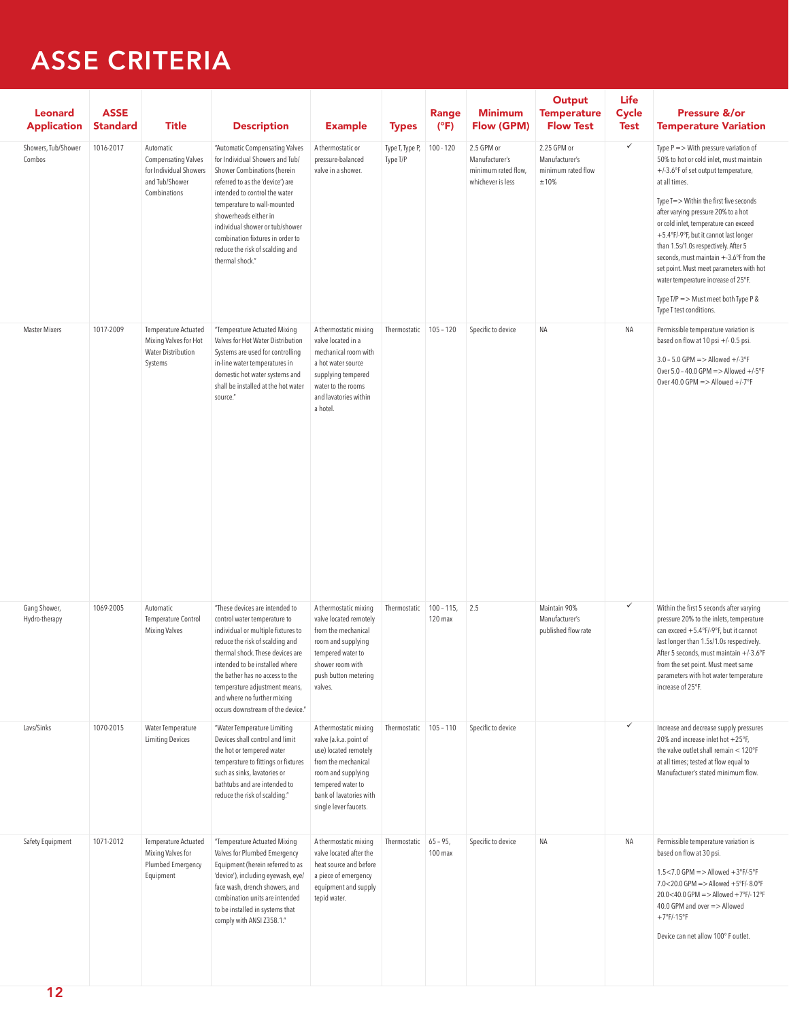## **ASSE CRITERIA**

| Leonard<br><b>Application</b>           | <b>ASSE</b><br>Standard | Title                                                                                               | <b>Description</b>                                                                                                                                                                                                                                                                                                                                                                               | <b>Example</b>                                                                                                                                                                                 | <b>Types</b>                          | <b>Range</b><br>(°F)                     | Minimum<br>Flow (GPM)                                                    | Output<br><b>Temperature</b><br><b>Flow Test</b>            | <b>Life</b><br><b>Cycle</b><br><b>Test</b> | <b>Pressure &amp;/or</b><br><b>Temperature Variation</b>                                                                                                                                                                                                                                                                                                                                                                                                                                                                                                  |
|-----------------------------------------|-------------------------|-----------------------------------------------------------------------------------------------------|--------------------------------------------------------------------------------------------------------------------------------------------------------------------------------------------------------------------------------------------------------------------------------------------------------------------------------------------------------------------------------------------------|------------------------------------------------------------------------------------------------------------------------------------------------------------------------------------------------|---------------------------------------|------------------------------------------|--------------------------------------------------------------------------|-------------------------------------------------------------|--------------------------------------------|-----------------------------------------------------------------------------------------------------------------------------------------------------------------------------------------------------------------------------------------------------------------------------------------------------------------------------------------------------------------------------------------------------------------------------------------------------------------------------------------------------------------------------------------------------------|
| Showers, Tub/Shower 1016-2017<br>Combos |                         | Automatic<br><b>Compensating Valves</b><br>for Individual Showers<br>and Tub/Shower<br>Combinations | "Automatic Compensating Valves<br>for Individual Showers and Tub/<br>Shower Combinations (herein<br>referred to as the 'device') are<br>intended to control the water<br>temperature to wall-mounted<br>showerheads either in<br>individual shower or tub/shower<br>combination fixtures in order to<br>reduce the risk of scalding and<br>thermal shock."                                       | A thermostatic or<br>pressure-balanced<br>valve in a shower.                                                                                                                                   | Type T, Type P, 100 - 120<br>Type T/P |                                          | 2.5 GPM or<br>Manufacturer's<br>minimum rated flow,<br>whichever is less | 2.25 GPM or<br>Manufacturer's<br>minimum rated flow<br>±10% | $\checkmark$                               | Type $P =$ > With pressure variation of<br>50% to hot or cold inlet, must maintain<br>+/-3.6°F of set output temperature,<br>at all times.<br>Type T=> Within the first five seconds<br>after varying pressure 20% to a hot<br>or cold inlet, temperature can exceed<br>+5.4°F/-9°F, but it cannot last longer<br>than 1.5s/1.0s respectively. After 5<br>seconds, must maintain +-3.6°F from the<br>set point. Must meet parameters with hot<br>water temperature increase of 25°F.<br>Type T/P = $>$ Must meet both Type P &<br>Type T test conditions. |
| Master Mixers                           | 1017-2009               | Temperature Actuated<br>Mixing Valves for Hot<br>Water Distribution<br>Systems                      | "Temperature Actuated Mixing<br>Valves for Hot Water Distribution<br>Systems are used for controlling<br>in-line water temperatures in<br>domestic hot water systems and<br>shall be installed at the hot water<br>source."                                                                                                                                                                      | A thermostatic mixing<br>valve located in a<br>mechanical room with<br>a hot water source<br>supplying tempered<br>water to the rooms<br>and lavatories within<br>a hotel.                     |                                       |                                          | Thermostatic 105 - 120 Specific to device                                | NA                                                          | NA                                         | Permissible temperature variation is<br>based on flow at 10 psi +/- 0.5 psi.<br>$3.0 - 5.0$ GPM = > Allowed +/-3°F<br>Over $5.0 - 40.0$ GPM = $>$ Allowed +/-5°F<br>Over 40.0 GPM = $>$ Allowed +/-7°F                                                                                                                                                                                                                                                                                                                                                    |
| Gang Shower,<br>Hydro-therapy           | 1069-2005               | Automatic<br>Temperature Control<br>Mixing Valves                                                   | "These devices are intended to<br>control water temperature to<br>individual or multiple fixtures to<br>reduce the risk of scalding and<br>thermal shock. These devices are lempered water to<br>intended to be installed where shower room with<br>the bather has no access to the<br>temperature adjustment means, valves.<br>and where no further mixing<br>occurs downstream of the device." | A thermostatic mixing<br>valve located remotely<br>from the mechanical<br>room and supplying<br>push button metering                                                                           |                                       | Thermostatic 100 - 115, 2.5<br>$120$ max |                                                                          | Maintain 90%<br>Manufacturer's<br>published flow rate       | $\checkmark$                               | Within the first 5 seconds after varying<br>pressure 20% to the inlets, temperature<br>can exceed +5.4°F/-9°F, but it cannot<br>last longer than 1.5s/1.0s respectively.<br>After 5 seconds, must maintain +/-3.6°F<br>from the set point. Must meet same<br>parameters with hot water temperature<br>increase of 25°F.                                                                                                                                                                                                                                   |
| Lavs/Sinks                              | 1070-2015               | Water Temperature<br><b>Limiting Devices</b>                                                        | "Water Temperature Limiting<br>Devices shall control and limit<br>the hot or tempered water<br>temperature to fittings or fixtures<br>such as sinks, lavatories or<br>bathtubs and are intended to<br>reduce the risk of scalding."                                                                                                                                                              | A thermostatic mixing<br>valve (a.k.a. point of<br>use) located remotely<br>from the mechanical<br>room and supplying<br>tempered water to<br>bank of lavatories with<br>single lever faucets. |                                       |                                          | Thermostatic 105 - 110 Specific to device                                |                                                             | $\checkmark$                               | Increase and decrease supply pressures<br>20% and increase inlet hot +25°F,<br>the valve outlet shall remain $<$ 120°F<br>at all times; tested at flow equal to<br>Manufacturer's stated minimum flow.                                                                                                                                                                                                                                                                                                                                                    |
| Safety Equipment                        | 1071-2012               | Temperature Actuated<br>Mixing Valves for<br>Plumbed Emergency<br>Equipment                         | "Temperature Actuated Mixing<br>Valves for Plumbed Emergency<br>Equipment (herein referred to as heat source and before<br>'device'), including eyewash, eye/ a piece of emergency<br>face wash, drench showers, and<br>combination units are intended<br>to be installed in systems that<br>comply with ANSI Z358.1."                                                                           | A thermostatic mixing<br>valve located after the<br>equipment and supply<br>tepid water.                                                                                                       | Thermostatic 65 - 95,                 | $100$ max                                | Specific to device                                                       | <b>NA</b>                                                   | NA                                         | Permissible temperature variation is<br>based on flow at 30 psi.<br>$1.5 < 7.0$ GPM = > Allowed +3°F/-5°F<br>7.0<20.0 GPM => Allowed +5°F/-8.0°F<br>20.0<40.0 GPM => Allowed +7°F/-12°F<br>40.0 GPM and over => Allowed<br>$+7°$ F/-15°F<br>Device can net allow 100° F outlet.                                                                                                                                                                                                                                                                           |